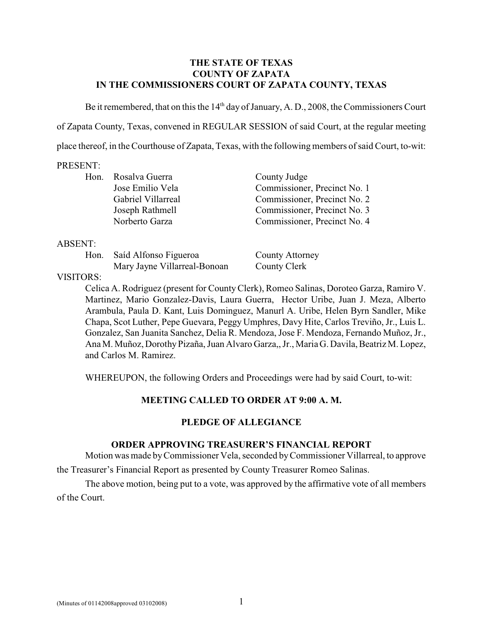#### **THE STATE OF TEXAS COUNTY OF ZAPATA IN THE COMMISSIONERS COURT OF ZAPATA COUNTY, TEXAS**

Be it remembered, that on this the  $14<sup>th</sup>$  day of January, A. D., 2008, the Commissioners Court of Zapata County, Texas, convened in REGULAR SESSION of said Court, at the regular meeting place thereof, in the Courthouse of Zapata, Texas, with the following members of said Court, to-wit:

#### PRESENT:

| Hon. | Rosalva Guerra     | County Judge                 |
|------|--------------------|------------------------------|
|      | Jose Emilio Vela   | Commissioner, Precinct No. 1 |
|      | Gabriel Villarreal | Commissioner, Precinct No. 2 |
|      | Joseph Rathmell    | Commissioner, Precinct No. 3 |
|      | Norberto Garza     | Commissioner, Precinct No. 4 |
|      |                    |                              |

#### ABSENT:

Hon. Saíd Alfonso Figueroa County Attorney Mary Jayne Villarreal-Bonoan County Clerk

VISITORS:

Celica A. Rodriguez (present for County Clerk), Romeo Salinas, Doroteo Garza, Ramiro V. Martinez, Mario Gonzalez-Davis, Laura Guerra, Hector Uribe, Juan J. Meza, Alberto Arambula, Paula D. Kant, Luis Dominguez, Manurl A. Uribe, Helen Byrn Sandler, Mike Chapa, Scot Luther, Pepe Guevara, Peggy Umphres, Davy Hite, Carlos Treviño, Jr., Luis L. Gonzalez, San Juanita Sanchez, Delia R. Mendoza, Jose F. Mendoza, Fernando Muñoz, Jr., Ana M. Muñoz, Dorothy Pizaña, Juan Alvaro Garza,, Jr., Maria G. Davila, Beatriz M. Lopez, and Carlos M. Ramirez.

WHEREUPON, the following Orders and Proceedings were had by said Court, to-wit:

## **MEETING CALLED TO ORDER AT 9:00 A. M.**

## **PLEDGE OF ALLEGIANCE**

## **ORDER APPROVING TREASURER'S FINANCIAL REPORT**

Motion was made byCommissioner Vela, seconded byCommissioner Villarreal, to approve the Treasurer's Financial Report as presented by County Treasurer Romeo Salinas.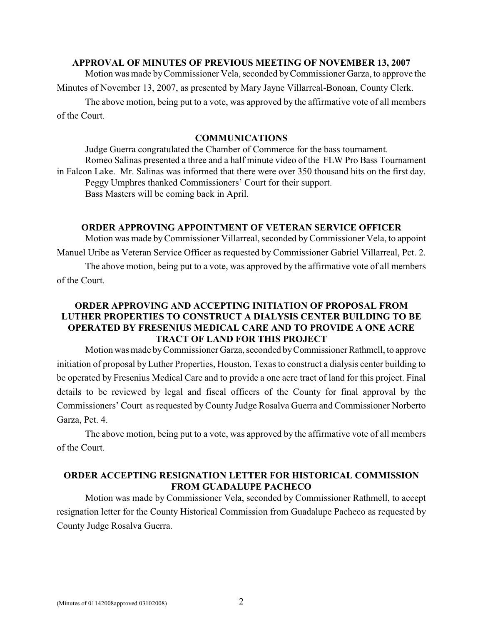#### **APPROVAL OF MINUTES OF PREVIOUS MEETING OF NOVEMBER 13, 2007**

Motion was made by Commissioner Vela, seconded by Commissioner Garza, to approve the

Minutes of November 13, 2007, as presented by Mary Jayne Villarreal-Bonoan, County Clerk.

The above motion, being put to a vote, was approved by the affirmative vote of all members of the Court.

#### **COMMUNICATIONS**

Judge Guerra congratulated the Chamber of Commerce for the bass tournament. Romeo Salinas presented a three and a half minute video of the FLW Pro Bass Tournament in Falcon Lake. Mr. Salinas was informed that there were over 350 thousand hits on the first day. Peggy Umphres thanked Commissioners' Court for their support. Bass Masters will be coming back in April.

#### **ORDER APPROVING APPOINTMENT OF VETERAN SERVICE OFFICER**

Motion was made by Commissioner Villarreal, seconded byCommissioner Vela, to appoint Manuel Uribe as Veteran Service Officer as requested by Commissioner Gabriel Villarreal, Pct. 2.

The above motion, being put to a vote, was approved by the affirmative vote of all members of the Court.

## **ORDER APPROVING AND ACCEPTING INITIATION OF PROPOSAL FROM LUTHER PROPERTIES TO CONSTRUCT A DIALYSIS CENTER BUILDING TO BE OPERATED BY FRESENIUS MEDICAL CARE AND TO PROVIDE A ONE ACRE TRACT OF LAND FOR THIS PROJECT**

Motion was made by Commissioner Garza, seconded by Commissioner Rathmell, to approve initiation of proposal by Luther Properties, Houston, Texas to construct a dialysis center building to be operated by Fresenius Medical Care and to provide a one acre tract of land for this project. Final details to be reviewed by legal and fiscal officers of the County for final approval by the Commissioners' Court as requested by County Judge Rosalva Guerra and Commissioner Norberto Garza, Pct. 4.

The above motion, being put to a vote, was approved by the affirmative vote of all members of the Court.

#### **ORDER ACCEPTING RESIGNATION LETTER FOR HISTORICAL COMMISSION FROM GUADALUPE PACHECO**

Motion was made by Commissioner Vela, seconded by Commissioner Rathmell, to accept resignation letter for the County Historical Commission from Guadalupe Pacheco as requested by County Judge Rosalva Guerra.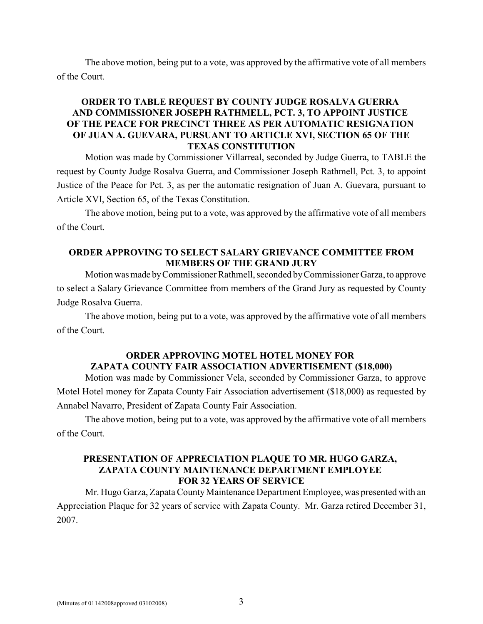The above motion, being put to a vote, was approved by the affirmative vote of all members of the Court.

## **ORDER TO TABLE REQUEST BY COUNTY JUDGE ROSALVA GUERRA AND COMMISSIONER JOSEPH RATHMELL, PCT. 3, TO APPOINT JUSTICE OF THE PEACE FOR PRECINCT THREE AS PER AUTOMATIC RESIGNATION OF JUAN A. GUEVARA, PURSUANT TO ARTICLE XVI, SECTION 65 OF THE TEXAS CONSTITUTION**

Motion was made by Commissioner Villarreal, seconded by Judge Guerra, to TABLE the request by County Judge Rosalva Guerra, and Commissioner Joseph Rathmell, Pct. 3, to appoint Justice of the Peace for Pct. 3, as per the automatic resignation of Juan A. Guevara, pursuant to Article XVI, Section 65, of the Texas Constitution.

The above motion, being put to a vote, was approved by the affirmative vote of all members of the Court.

## **ORDER APPROVING TO SELECT SALARY GRIEVANCE COMMITTEE FROM MEMBERS OF THE GRAND JURY**

Motion was made by Commissioner Rathmell, seconded by Commissioner Garza, to approve to select a Salary Grievance Committee from members of the Grand Jury as requested by County Judge Rosalva Guerra.

The above motion, being put to a vote, was approved by the affirmative vote of all members of the Court.

# **ORDER APPROVING MOTEL HOTEL MONEY FOR ZAPATA COUNTY FAIR ASSOCIATION ADVERTISEMENT (\$18,000)**

Motion was made by Commissioner Vela, seconded by Commissioner Garza, to approve Motel Hotel money for Zapata County Fair Association advertisement (\$18,000) as requested by Annabel Navarro, President of Zapata County Fair Association.

The above motion, being put to a vote, was approved by the affirmative vote of all members of the Court.

#### **PRESENTATION OF APPRECIATION PLAQUE TO MR. HUGO GARZA, ZAPATA COUNTY MAINTENANCE DEPARTMENT EMPLOYEE FOR 32 YEARS OF SERVICE**

Mr. Hugo Garza, Zapata County Maintenance Department Employee, was presented with an Appreciation Plaque for 32 years of service with Zapata County. Mr. Garza retired December 31, 2007.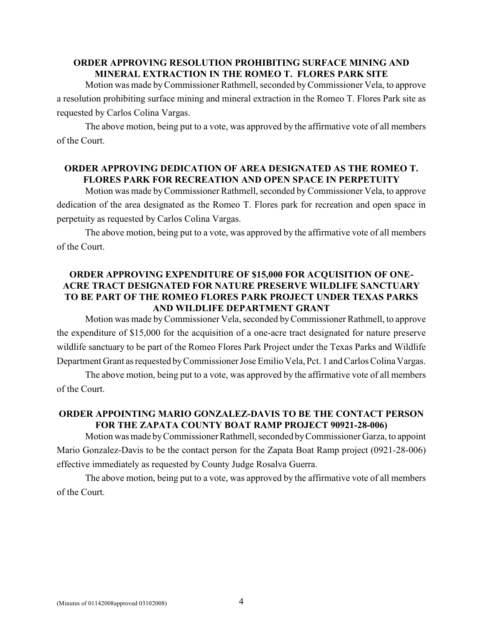## **ORDER APPROVING RESOLUTION PROHIBITING SURFACE MINING AND MINERAL EXTRACTION IN THE ROMEO T. FLORES PARK SITE**

Motion was made by Commissioner Rathmell, seconded by Commissioner Vela, to approve a resolution prohibiting surface mining and mineral extraction in the Romeo T. Flores Park site as requested by Carlos Colina Vargas.

The above motion, being put to a vote, was approved by the affirmative vote of all members of the Court.

## **ORDER APPROVING DEDICATION OF AREA DESIGNATED AS THE ROMEO T. FLORES PARK FOR RECREATION AND OPEN SPACE IN PERPETUITY**

Motion was made by Commissioner Rathmell, seconded by Commissioner Vela, to approve dedication of the area designated as the Romeo T. Flores park for recreation and open space in perpetuity as requested by Carlos Colina Vargas.

The above motion, being put to a vote, was approved by the affirmative vote of all members of the Court.

# **ORDER APPROVING EXPENDITURE OF \$15,000 FOR ACQUISITION OF ONE-ACRE TRACT DESIGNATED FOR NATURE PRESERVE WILDLIFE SANCTUARY TO BE PART OF THE ROMEO FLORES PARK PROJECT UNDER TEXAS PARKS AND WILDLIFE DEPARTMENT GRANT**

Motion was made by Commissioner Vela, seconded by Commissioner Rathmell, to approve the expenditure of \$15,000 for the acquisition of a one-acre tract designated for nature preserve wildlife sanctuary to be part of the Romeo Flores Park Project under the Texas Parks and Wildlife Department Grant as requested by Commissioner Jose Emilio Vela, Pct. 1 and Carlos Colina Vargas.

The above motion, being put to a vote, was approved by the affirmative vote of all members of the Court.

# **ORDER APPOINTING MARIO GONZALEZ-DAVIS TO BE THE CONTACT PERSON FOR THE ZAPATA COUNTY BOAT RAMP PROJECT 90921-28-006)**

Motion was made byCommissioner Rathmell, seconded byCommissioner Garza, to appoint Mario Gonzalez-Davis to be the contact person for the Zapata Boat Ramp project (0921-28-006) effective immediately as requested by County Judge Rosalva Guerra.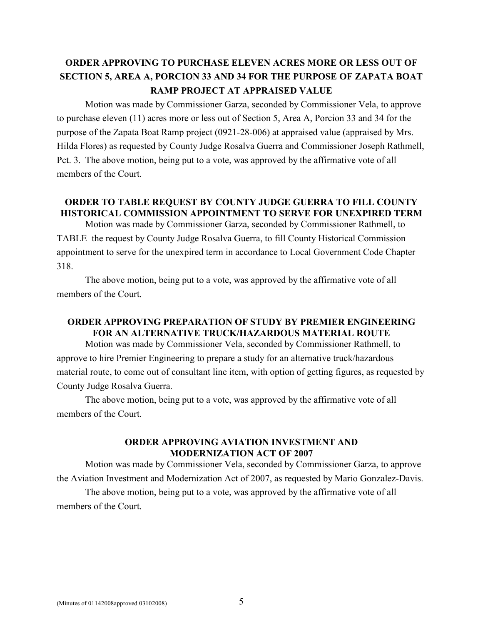# **ORDER APPROVING TO PURCHASE ELEVEN ACRES MORE OR LESS OUT OF SECTION 5, AREA A, PORCION 33 AND 34 FOR THE PURPOSE OF ZAPATA BOAT RAMP PROJECT AT APPRAISED VALUE**

Motion was made by Commissioner Garza, seconded by Commissioner Vela, to approve to purchase eleven (11) acres more or less out of Section 5, Area A, Porcion 33 and 34 for the purpose of the Zapata Boat Ramp project (0921-28-006) at appraised value (appraised by Mrs. Hilda Flores) as requested by County Judge Rosalva Guerra and Commissioner Joseph Rathmell, Pct. 3. The above motion, being put to a vote, was approved by the affirmative vote of all members of the Court.

## **ORDER TO TABLE REQUEST BY COUNTY JUDGE GUERRA TO FILL COUNTY HISTORICAL COMMISSION APPOINTMENT TO SERVE FOR UNEXPIRED TERM**

Motion was made by Commissioner Garza, seconded by Commissioner Rathmell, to TABLE the request by County Judge Rosalva Guerra, to fill County Historical Commission appointment to serve for the unexpired term in accordance to Local Government Code Chapter 318.

The above motion, being put to a vote, was approved by the affirmative vote of all members of the Court.

# **ORDER APPROVING PREPARATION OF STUDY BY PREMIER ENGINEERING FOR AN ALTERNATIVE TRUCK/HAZARDOUS MATERIAL ROUTE**

Motion was made by Commissioner Vela, seconded by Commissioner Rathmell, to approve to hire Premier Engineering to prepare a study for an alternative truck/hazardous material route, to come out of consultant line item, with option of getting figures, as requested by County Judge Rosalva Guerra.

The above motion, being put to a vote, was approved by the affirmative vote of all members of the Court.

#### **ORDER APPROVING AVIATION INVESTMENT AND MODERNIZATION ACT OF 2007**

Motion was made by Commissioner Vela, seconded by Commissioner Garza, to approve the Aviation Investment and Modernization Act of 2007, as requested by Mario Gonzalez-Davis.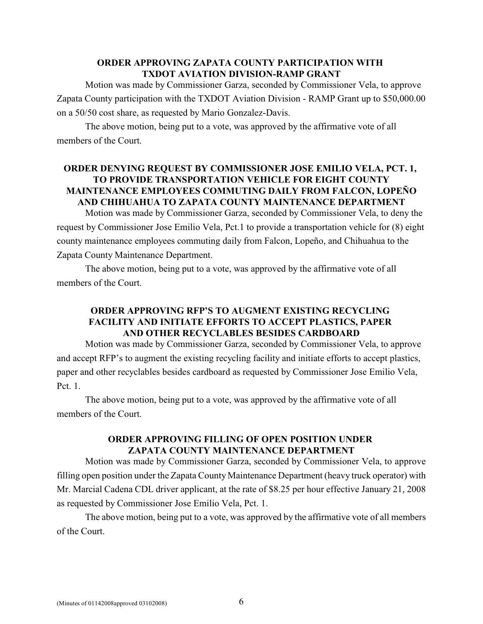## **ORDER APPROVING ZAPATA COUNTY PARTICIPATION WITH TXDOT AVIATION DIVISION-RAMP GRANT**

Motion was made by Commissioner Garza, seconded by Commissioner Vela, to approve Zapata County participation with the TXDOT Aviation Division - RAMP Grant up to \$50,000.00 on a 50/50 cost share, as requested by Mario Gonzalez-Davis.

The above motion, being put to a vote, was approved by the affirmative vote of all members of the Court.

## **ORDER DENYING REQUEST BY COMMISSIONER JOSE EMILIO VELA, PCT. 1, TO PROVIDE TRANSPORTATION VEHICLE FOR EIGHT COUNTY MAINTENANCE EMPLOYEES COMMUTING DAILY FROM FALCON, LOPEÑO AND CHIHUAHUA TO ZAPATA COUNTY MAINTENANCE DEPARTMENT**

Motion was made by Commissioner Garza, seconded by Commissioner Vela, to deny the request by Commissioner Jose Emilio Vela, Pct.1 to provide a transportation vehicle for (8) eight county maintenance employees commuting daily from Falcon, Lopeño, and Chihuahua to the Zapata County Maintenance Department.

The above motion, being put to a vote, was approved by the affirmative vote of all members of the Court.

# **ORDER APPROVING RFP'S TO AUGMENT EXISTING RECYCLING FACILITY AND INITIATE EFFORTS TO ACCEPT PLASTICS, PAPER AND OTHER RECYCLABLES BESIDES CARDBOARD**

Motion was made by Commissioner Garza, seconded by Commissioner Vela, to approve and accept RFP's to augment the existing recycling facility and initiate efforts to accept plastics, paper and other recyclables besides cardboard as requested by Commissioner Jose Emilio Vela, Pct. 1.

The above motion, being put to a vote, was approved by the affirmative vote of all members of the Court.

## **ORDER APPROVING FILLING OF OPEN POSITION UNDER ZAPATA COUNTY MAINTENANCE DEPARTMENT**

Motion was made by Commissioner Garza, seconded by Commissioner Vela, to approve filling open position under the Zapata County Maintenance Department (heavy truck operator) with Mr. Marcial Cadena CDL driver applicant, at the rate of \$8.25 per hour effective January 21, 2008 as requested by Commissioner Jose Emilio Vela, Pct. 1.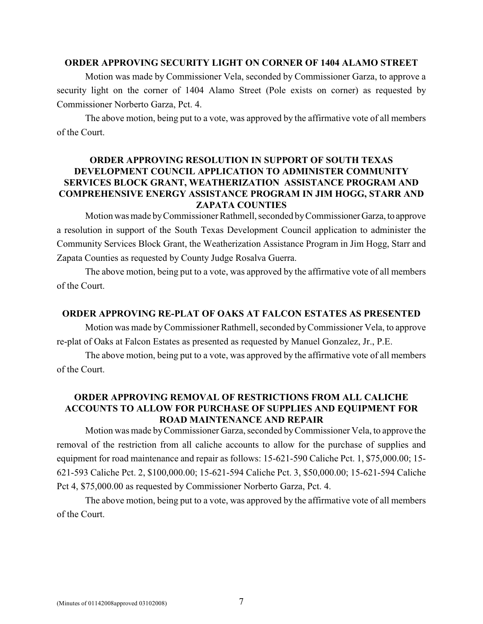#### **ORDER APPROVING SECURITY LIGHT ON CORNER OF 1404 ALAMO STREET**

Motion was made by Commissioner Vela, seconded by Commissioner Garza, to approve a security light on the corner of 1404 Alamo Street (Pole exists on corner) as requested by Commissioner Norberto Garza, Pct. 4.

The above motion, being put to a vote, was approved by the affirmative vote of all members of the Court.

## **ORDER APPROVING RESOLUTION IN SUPPORT OF SOUTH TEXAS DEVELOPMENT COUNCIL APPLICATION TO ADMINISTER COMMUNITY SERVICES BLOCK GRANT, WEATHERIZATION ASSISTANCE PROGRAM AND COMPREHENSIVE ENERGY ASSISTANCE PROGRAM IN JIM HOGG, STARR AND ZAPATA COUNTIES**

Motion was made by Commissioner Rathmell, seconded by Commissioner Garza, to approve a resolution in support of the South Texas Development Council application to administer the Community Services Block Grant, the Weatherization Assistance Program in Jim Hogg, Starr and Zapata Counties as requested by County Judge Rosalva Guerra.

The above motion, being put to a vote, was approved by the affirmative vote of all members of the Court.

#### **ORDER APPROVING RE-PLAT OF OAKS AT FALCON ESTATES AS PRESENTED**

Motion was made by Commissioner Rathmell, seconded by Commissioner Vela, to approve re-plat of Oaks at Falcon Estates as presented as requested by Manuel Gonzalez, Jr., P.E.

The above motion, being put to a vote, was approved by the affirmative vote of all members of the Court.

### **ORDER APPROVING REMOVAL OF RESTRICTIONS FROM ALL CALICHE ACCOUNTS TO ALLOW FOR PURCHASE OF SUPPLIES AND EQUIPMENT FOR ROAD MAINTENANCE AND REPAIR**

Motion was made by Commissioner Garza, seconded by Commissioner Vela, to approve the removal of the restriction from all caliche accounts to allow for the purchase of supplies and equipment for road maintenance and repair as follows: 15-621-590 Caliche Pct. 1, \$75,000.00; 15- 621-593 Caliche Pct. 2, \$100,000.00; 15-621-594 Caliche Pct. 3, \$50,000.00; 15-621-594 Caliche Pct 4, \$75,000.00 as requested by Commissioner Norberto Garza, Pct. 4.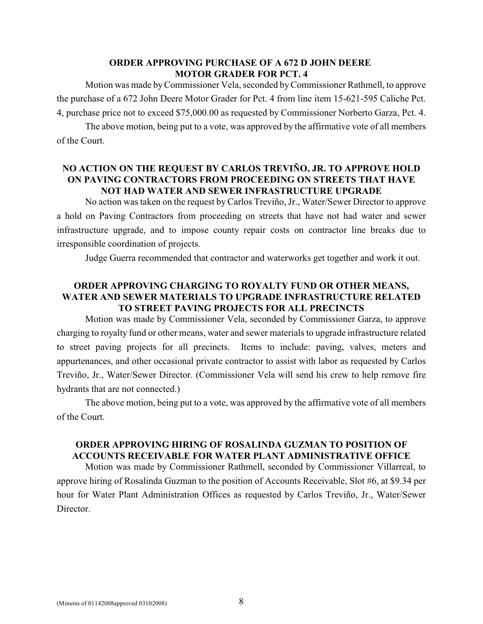#### **ORDER APPROVING PURCHASE OF A 672 D JOHN DEERE MOTOR GRADER FOR PCT. 4**

Motion was made by Commissioner Vela, seconded by Commissioner Rathmell, to approve the purchase of a 672 John Deere Motor Grader for Pct. 4 from line item 15-621-595 Caliche Pct. 4, purchase price not to exceed \$75,000.00 as requested by Commissioner Norberto Garza, Pct. 4.

The above motion, being put to a vote, was approved by the affirmative vote of all members of the Court.

## **NO ACTION ON THE REQUEST BY CARLOS TREVIÑO, JR. TO APPROVE HOLD ON PAVING CONTRACTORS FROM PROCEEDING ON STREETS THAT HAVE NOT HAD WATER AND SEWER INFRASTRUCTURE UPGRADE**

No action was taken on the request by Carlos Treviño, Jr., Water/Sewer Director to approve a hold on Paving Contractors from proceeding on streets that have not had water and sewer infrastructure upgrade, and to impose county repair costs on contractor line breaks due to irresponsible coordination of projects.

Judge Guerra recommended that contractor and waterworks get together and work it out.

# **ORDER APPROVING CHARGING TO ROYALTY FUND OR OTHER MEANS, WATER AND SEWER MATERIALS TO UPGRADE INFRASTRUCTURE RELATED TO STREET PAVING PROJECTS FOR ALL PRECINCTS**

Motion was made by Commissioner Vela, seconded by Commissioner Garza, to approve charging to royalty fund or other means, water and sewer materials to upgrade infrastructure related to street paving projects for all precincts. Items to include: paving, valves, meters and appurtenances, and other occasional private contractor to assist with labor as requested by Carlos Treviño, Jr., Water/Sewer Director. (Commissioner Vela will send his crew to help remove fire hydrants that are not connected.)

The above motion, being put to a vote, was approved by the affirmative vote of all members of the Court.

# **ORDER APPROVING HIRING OF ROSALINDA GUZMAN TO POSITION OF ACCOUNTS RECEIVABLE FOR WATER PLANT ADMINISTRATIVE OFFICE**

Motion was made by Commissioner Rathmell, seconded by Commissioner Villarreal, to approve hiring of Rosalinda Guzman to the position of Accounts Receivable, Slot #6, at \$9.34 per hour for Water Plant Administration Offices as requested by Carlos Treviño, Jr., Water/Sewer Director.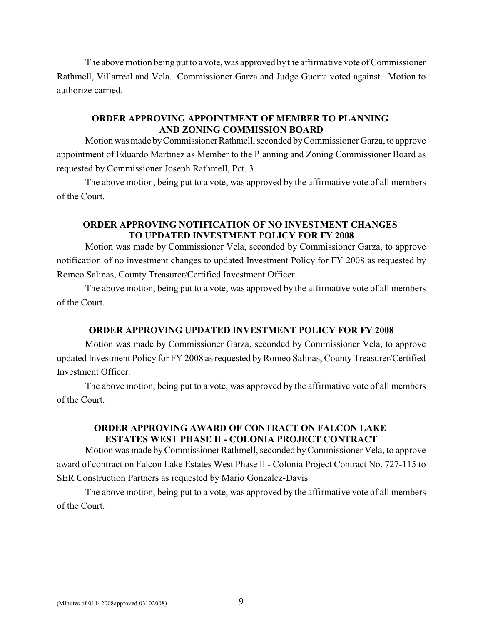The above motion being put to a vote, was approved by the affirmative vote of Commissioner Rathmell, Villarreal and Vela. Commissioner Garza and Judge Guerra voted against. Motion to authorize carried.

#### **ORDER APPROVING APPOINTMENT OF MEMBER TO PLANNING AND ZONING COMMISSION BOARD**

Motion was made by Commissioner Rathmell, seconded by Commissioner Garza, to approve appointment of Eduardo Martinez as Member to the Planning and Zoning Commissioner Board as requested by Commissioner Joseph Rathmell, Pct. 3.

The above motion, being put to a vote, was approved by the affirmative vote of all members of the Court.

#### **ORDER APPROVING NOTIFICATION OF NO INVESTMENT CHANGES TO UPDATED INVESTMENT POLICY FOR FY 2008**

Motion was made by Commissioner Vela, seconded by Commissioner Garza, to approve notification of no investment changes to updated Investment Policy for FY 2008 as requested by Romeo Salinas, County Treasurer/Certified Investment Officer.

The above motion, being put to a vote, was approved by the affirmative vote of all members of the Court.

#### **ORDER APPROVING UPDATED INVESTMENT POLICY FOR FY 2008**

Motion was made by Commissioner Garza, seconded by Commissioner Vela, to approve updated Investment Policy for FY 2008 as requested by Romeo Salinas, County Treasurer/Certified Investment Officer.

The above motion, being put to a vote, was approved by the affirmative vote of all members of the Court.

## **ORDER APPROVING AWARD OF CONTRACT ON FALCON LAKE ESTATES WEST PHASE II - COLONIA PROJECT CONTRACT**

Motion was made by Commissioner Rathmell, seconded by Commissioner Vela, to approve award of contract on Falcon Lake Estates West Phase II - Colonia Project Contract No. 727-115 to SER Construction Partners as requested by Mario Gonzalez-Davis.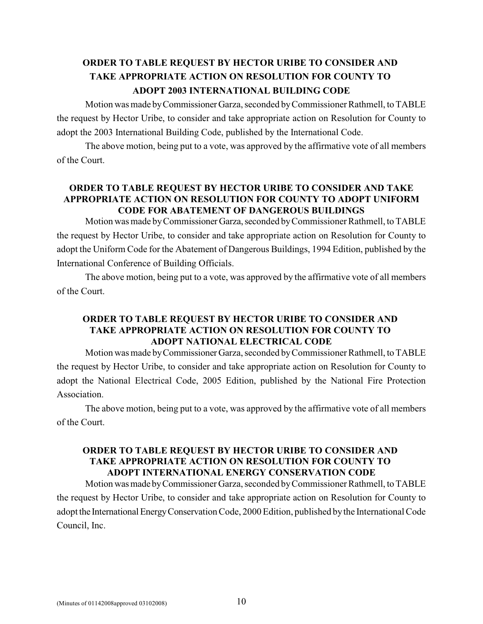# **ORDER TO TABLE REQUEST BY HECTOR URIBE TO CONSIDER AND TAKE APPROPRIATE ACTION ON RESOLUTION FOR COUNTY TO ADOPT 2003 INTERNATIONAL BUILDING CODE**

Motion was made by Commissioner Garza, seconded by Commissioner Rathmell, to TABLE the request by Hector Uribe, to consider and take appropriate action on Resolution for County to adopt the 2003 International Building Code, published by the International Code.

The above motion, being put to a vote, was approved by the affirmative vote of all members of the Court.

## **ORDER TO TABLE REQUEST BY HECTOR URIBE TO CONSIDER AND TAKE APPROPRIATE ACTION ON RESOLUTION FOR COUNTY TO ADOPT UNIFORM CODE FOR ABATEMENT OF DANGEROUS BUILDINGS**

Motion was made by Commissioner Garza, seconded by Commissioner Rathmell, to TABLE the request by Hector Uribe, to consider and take appropriate action on Resolution for County to adopt the Uniform Code for the Abatement of Dangerous Buildings, 1994 Edition, published by the International Conference of Building Officials.

The above motion, being put to a vote, was approved by the affirmative vote of all members of the Court.

## **ORDER TO TABLE REQUEST BY HECTOR URIBE TO CONSIDER AND TAKE APPROPRIATE ACTION ON RESOLUTION FOR COUNTY TO ADOPT NATIONAL ELECTRICAL CODE**

Motion was made by Commissioner Garza, seconded by Commissioner Rathmell, to TABLE the request by Hector Uribe, to consider and take appropriate action on Resolution for County to adopt the National Electrical Code, 2005 Edition, published by the National Fire Protection Association.

The above motion, being put to a vote, was approved by the affirmative vote of all members of the Court.

# **ORDER TO TABLE REQUEST BY HECTOR URIBE TO CONSIDER AND TAKE APPROPRIATE ACTION ON RESOLUTION FOR COUNTY TO ADOPT INTERNATIONAL ENERGY CONSERVATION CODE**

Motion was made by Commissioner Garza, seconded by Commissioner Rathmell, to TABLE the request by Hector Uribe, to consider and take appropriate action on Resolution for County to adopt the International Energy Conservation Code, 2000 Edition, published by the International Code Council, Inc.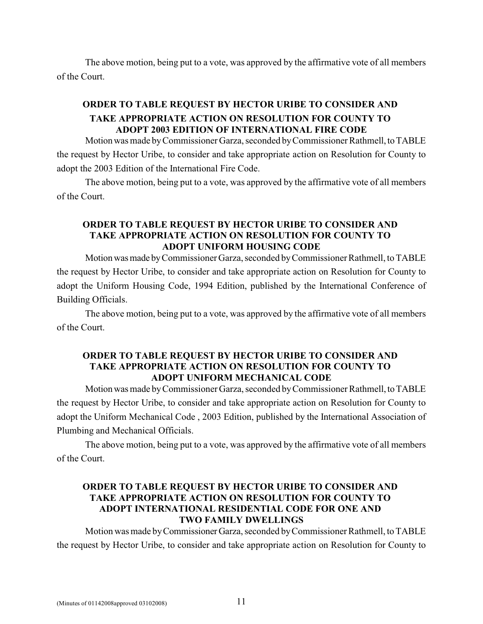The above motion, being put to a vote, was approved by the affirmative vote of all members of the Court.

# **ORDER TO TABLE REQUEST BY HECTOR URIBE TO CONSIDER AND TAKE APPROPRIATE ACTION ON RESOLUTION FOR COUNTY TO ADOPT 2003 EDITION OF INTERNATIONAL FIRE CODE**

Motion was made by Commissioner Garza, seconded by Commissioner Rathmell, to TABLE the request by Hector Uribe, to consider and take appropriate action on Resolution for County to adopt the 2003 Edition of the International Fire Code.

The above motion, being put to a vote, was approved by the affirmative vote of all members of the Court.

#### **ORDER TO TABLE REQUEST BY HECTOR URIBE TO CONSIDER AND TAKE APPROPRIATE ACTION ON RESOLUTION FOR COUNTY TO ADOPT UNIFORM HOUSING CODE**

Motion was made by Commissioner Garza, seconded by Commissioner Rathmell, to TABLE the request by Hector Uribe, to consider and take appropriate action on Resolution for County to adopt the Uniform Housing Code, 1994 Edition, published by the International Conference of Building Officials.

The above motion, being put to a vote, was approved by the affirmative vote of all members of the Court.

#### **ORDER TO TABLE REQUEST BY HECTOR URIBE TO CONSIDER AND TAKE APPROPRIATE ACTION ON RESOLUTION FOR COUNTY TO ADOPT UNIFORM MECHANICAL CODE**

Motion was made by Commissioner Garza, seconded by Commissioner Rathmell, to TABLE the request by Hector Uribe, to consider and take appropriate action on Resolution for County to adopt the Uniform Mechanical Code , 2003 Edition, published by the International Association of Plumbing and Mechanical Officials.

The above motion, being put to a vote, was approved by the affirmative vote of all members of the Court.

## **ORDER TO TABLE REQUEST BY HECTOR URIBE TO CONSIDER AND TAKE APPROPRIATE ACTION ON RESOLUTION FOR COUNTY TO ADOPT INTERNATIONAL RESIDENTIAL CODE FOR ONE AND TWO FAMILY DWELLINGS**

Motion was made by Commissioner Garza, seconded by Commissioner Rathmell, to TABLE the request by Hector Uribe, to consider and take appropriate action on Resolution for County to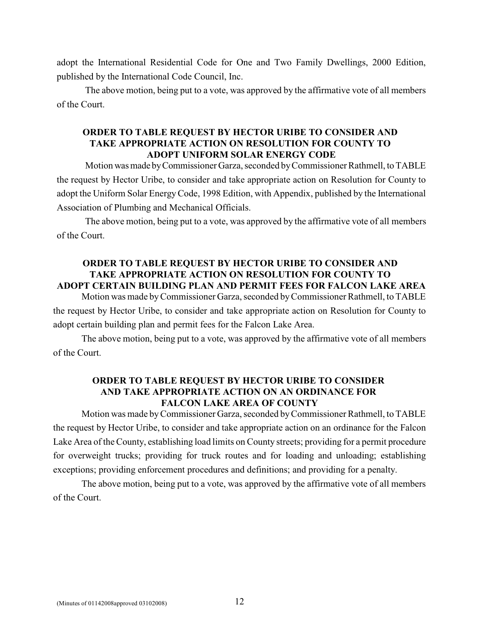adopt the International Residential Code for One and Two Family Dwellings, 2000 Edition, published by the International Code Council, Inc.

The above motion, being put to a vote, was approved by the affirmative vote of all members of the Court.

#### **ORDER TO TABLE REQUEST BY HECTOR URIBE TO CONSIDER AND TAKE APPROPRIATE ACTION ON RESOLUTION FOR COUNTY TO ADOPT UNIFORM SOLAR ENERGY CODE**

Motion was made by Commissioner Garza, seconded by Commissioner Rathmell, to TABLE the request by Hector Uribe, to consider and take appropriate action on Resolution for County to adopt the Uniform Solar Energy Code, 1998 Edition, with Appendix, published by the International Association of Plumbing and Mechanical Officials.

The above motion, being put to a vote, was approved by the affirmative vote of all members of the Court.

### **ORDER TO TABLE REQUEST BY HECTOR URIBE TO CONSIDER AND TAKE APPROPRIATE ACTION ON RESOLUTION FOR COUNTY TO ADOPT CERTAIN BUILDING PLAN AND PERMIT FEES FOR FALCON LAKE AREA**

Motion was made by Commissioner Garza, seconded by Commissioner Rathmell, to TABLE the request by Hector Uribe, to consider and take appropriate action on Resolution for County to adopt certain building plan and permit fees for the Falcon Lake Area.

The above motion, being put to a vote, was approved by the affirmative vote of all members of the Court.

#### **ORDER TO TABLE REQUEST BY HECTOR URIBE TO CONSIDER AND TAKE APPROPRIATE ACTION ON AN ORDINANCE FOR FALCON LAKE AREA OF COUNTY**

Motion was made by Commissioner Garza, seconded by Commissioner Rathmell, to TABLE the request by Hector Uribe, to consider and take appropriate action on an ordinance for the Falcon Lake Area of the County, establishing load limits on County streets; providing for a permit procedure for overweight trucks; providing for truck routes and for loading and unloading; establishing exceptions; providing enforcement procedures and definitions; and providing for a penalty.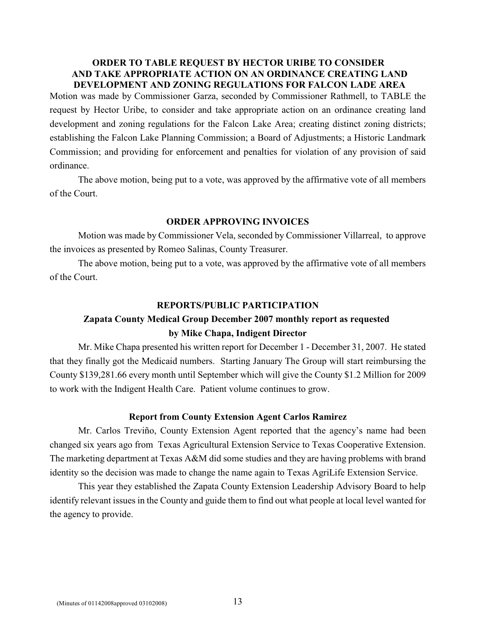#### **ORDER TO TABLE REQUEST BY HECTOR URIBE TO CONSIDER AND TAKE APPROPRIATE ACTION ON AN ORDINANCE CREATING LAND DEVELOPMENT AND ZONING REGULATIONS FOR FALCON LADE AREA**

Motion was made by Commissioner Garza, seconded by Commissioner Rathmell, to TABLE the request by Hector Uribe, to consider and take appropriate action on an ordinance creating land development and zoning regulations for the Falcon Lake Area; creating distinct zoning districts; establishing the Falcon Lake Planning Commission; a Board of Adjustments; a Historic Landmark Commission; and providing for enforcement and penalties for violation of any provision of said ordinance.

The above motion, being put to a vote, was approved by the affirmative vote of all members of the Court.

#### **ORDER APPROVING INVOICES**

Motion was made by Commissioner Vela, seconded by Commissioner Villarreal, to approve the invoices as presented by Romeo Salinas, County Treasurer.

The above motion, being put to a vote, was approved by the affirmative vote of all members of the Court.

#### **REPORTS/PUBLIC PARTICIPATION**

# **Zapata County Medical Group December 2007 monthly report as requested by Mike Chapa, Indigent Director**

Mr. Mike Chapa presented his written report for December 1 - December 31, 2007. He stated that they finally got the Medicaid numbers. Starting January The Group will start reimbursing the County \$139,281.66 every month until September which will give the County \$1.2 Million for 2009 to work with the Indigent Health Care. Patient volume continues to grow.

#### **Report from County Extension Agent Carlos Ramirez**

Mr. Carlos Treviño, County Extension Agent reported that the agency's name had been changed six years ago from Texas Agricultural Extension Service to Texas Cooperative Extension. The marketing department at Texas A&M did some studies and they are having problems with brand identity so the decision was made to change the name again to Texas AgriLife Extension Service.

This year they established the Zapata County Extension Leadership Advisory Board to help identify relevant issues in the County and guide them to find out what people at local level wanted for the agency to provide.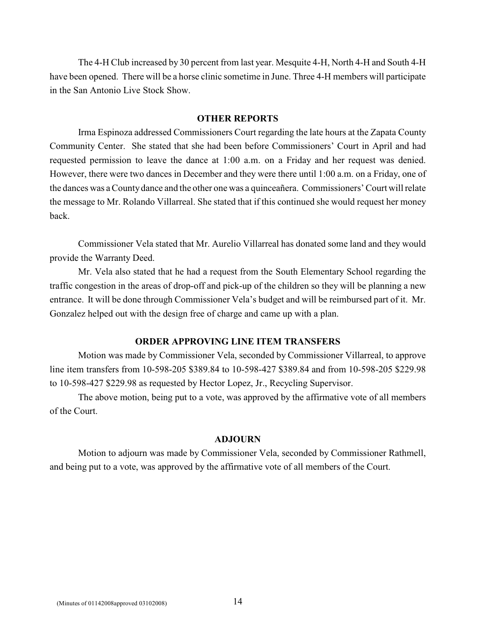The 4-H Club increased by 30 percent from last year. Mesquite 4-H, North 4-H and South 4-H have been opened. There will be a horse clinic sometime in June. Three 4-H members will participate in the San Antonio Live Stock Show.

#### **OTHER REPORTS**

Irma Espinoza addressed Commissioners Court regarding the late hours at the Zapata County Community Center. She stated that she had been before Commissioners' Court in April and had requested permission to leave the dance at 1:00 a.m. on a Friday and her request was denied. However, there were two dances in December and they were there until 1:00 a.m. on a Friday, one of the dances was a County dance and the other one was a quinceañera. Commissioners' Court will relate the message to Mr. Rolando Villarreal. She stated that if this continued she would request her money back.

Commissioner Vela stated that Mr. Aurelio Villarreal has donated some land and they would provide the Warranty Deed.

Mr. Vela also stated that he had a request from the South Elementary School regarding the traffic congestion in the areas of drop-off and pick-up of the children so they will be planning a new entrance. It will be done through Commissioner Vela's budget and will be reimbursed part of it. Mr. Gonzalez helped out with the design free of charge and came up with a plan.

#### **ORDER APPROVING LINE ITEM TRANSFERS**

Motion was made by Commissioner Vela, seconded by Commissioner Villarreal, to approve line item transfers from 10-598-205 \$389.84 to 10-598-427 \$389.84 and from 10-598-205 \$229.98 to 10-598-427 \$229.98 as requested by Hector Lopez, Jr., Recycling Supervisor.

The above motion, being put to a vote, was approved by the affirmative vote of all members of the Court.

#### **ADJOURN**

Motion to adjourn was made by Commissioner Vela, seconded by Commissioner Rathmell, and being put to a vote, was approved by the affirmative vote of all members of the Court.